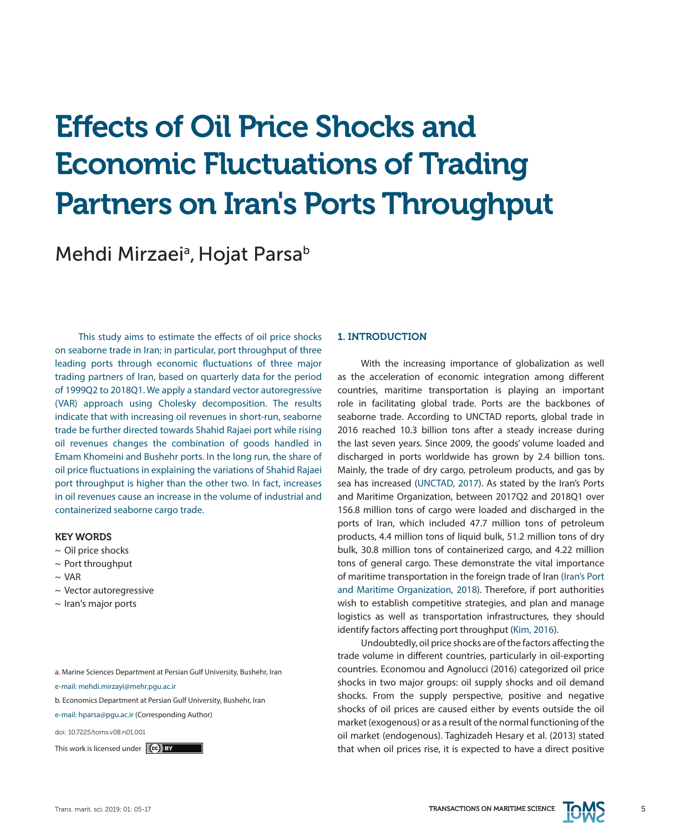# Effects of Oil Price Shocks and Economic Fluctuations of Trading Partners on Iran's Ports Throughput

Mehdi Mirzaei<sup>a</sup>, Hojat Parsa<sup>b</sup>

This study aims to estimate the effects of oil price shocks on seaborne trade in Iran; in particular, port throughput of three leading ports through economic fluctuations of three major trading partners of Iran, based on quarterly data for the period of 1999Q2 to 2018Q1. We apply a standard vector autoregressive (VAR) approach using Cholesky decomposition. The results indicate that with increasing oil revenues in short-run, seaborne trade be further directed towards Shahid Rajaei port while rising oil revenues changes the combination of goods handled in Emam Khomeini and Bushehr ports. In the long run, the share of oil price fluctuations in explaining the variations of Shahid Rajaei port throughput is higher than the other two. In fact, increases in oil revenues cause an increase in the volume of industrial and containerized seaborne cargo trade.

#### KEY WORDS

- $\sim$  Oil price shocks
- $\sim$  Port throughput
- $\sim$  VAR
- ~ Vector autoregressive
- $\sim$  Iran's major ports

a. Marine Sciences Department at Persian Gulf University, Bushehr, Iran

e-mail: mehdi.mirzayi@mehr.pgu.ac.ir

b. Economics Department at Persian Gulf University, Bushehr, Iran

e-mail: hparsa@pgu.ac.ir (Corresponding Author)

doi: 10.7225/toms.v08.n01.001

# 1. INTRODUCTION

With the increasing importance of globalization as well as the acceleration of economic integration among different countries, maritime transportation is playing an important role in facilitating global trade. Ports are the backbones of seaborne trade. According to UNCTAD reports, global trade in 2016 reached 10.3 billion tons after a steady increase during the last seven years. Since 2009, the goods' volume loaded and discharged in ports worldwide has grown by 2.4 billion tons. Mainly, the trade of dry cargo, petroleum products, and gas by sea has increased (UNCTAD, 2017). As stated by the Iran's Ports and Maritime Organization, between 2017Q2 and 2018Q1 over 156.8 million tons of cargo were loaded and discharged in the ports of Iran, which included 47.7 million tons of petroleum products, 4.4 million tons of liquid bulk, 51.2 million tons of dry bulk, 30.8 million tons of containerized cargo, and 4.22 million tons of general cargo. These demonstrate the vital importance of maritime transportation in the foreign trade of Iran (Iran's Port and Maritime Organization, 2018). Therefore, if port authorities wish to establish competitive strategies, and plan and manage logistics as well as transportation infrastructures, they should identify factors affecting port throughput (Kim, 2016).

Undoubtedly, oil price shocks are of the factors affecting the trade volume in different countries, particularly in oil-exporting countries. Economou and Agnolucci (2016) categorized oil price shocks in two major groups: oil supply shocks and oil demand shocks. From the supply perspective, positive and negative shocks of oil prices are caused either by events outside the oil market (exogenous) or as a result of the normal functioning of the oil market (endogenous). Taghizadeh Hesary et al. (2013) stated This work is licensed under  $\left[\infty\right]$  BY

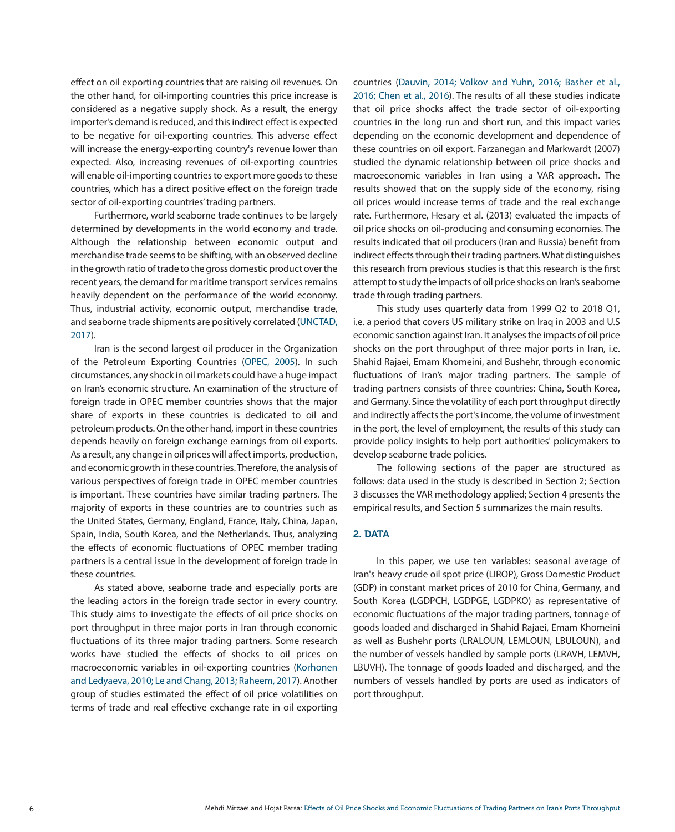effect on oil exporting countries that are raising oil revenues. On the other hand, for oil-importing countries this price increase is considered as a negative supply shock. As a result, the energy importer's demand is reduced, and this indirect effect is expected to be negative for oil-exporting countries. This adverse effect will increase the energy-exporting country's revenue lower than expected. Also, increasing revenues of oil-exporting countries will enable oil-importing countries to export more goods to these countries, which has a direct positive effect on the foreign trade sector of oil-exporting countries' trading partners.

Furthermore, world seaborne trade continues to be largely determined by developments in the world economy and trade. Although the relationship between economic output and merchandise trade seems to be shifting, with an observed decline in the growth ratio of trade to the gross domestic product over the recent years, the demand for maritime transport services remains heavily dependent on the performance of the world economy. Thus, industrial activity, economic output, merchandise trade, and seaborne trade shipments are positively correlated (UNCTAD, 2017).

Iran is the second largest oil producer in the Organization of the Petroleum Exporting Countries (OPEC, 2005). In such circumstances, any shock in oil markets could have a huge impact on Iran's economic structure. An examination of the structure of foreign trade in OPEC member countries shows that the major share of exports in these countries is dedicated to oil and petroleum products. On the other hand, import in these countries depends heavily on foreign exchange earnings from oil exports. As a result, any change in oil prices will affect imports, production, and economic growth in these countries. Therefore, the analysis of various perspectives of foreign trade in OPEC member countries is important. These countries have similar trading partners. The majority of exports in these countries are to countries such as the United States, Germany, England, France, Italy, China, Japan, Spain, India, South Korea, and the Netherlands. Thus, analyzing the effects of economic fluctuations of OPEC member trading partners is a central issue in the development of foreign trade in these countries.

As stated above, seaborne trade and especially ports are the leading actors in the foreign trade sector in every country. This study aims to investigate the effects of oil price shocks on port throughput in three major ports in Iran through economic fluctuations of its three major trading partners. Some research works have studied the effects of shocks to oil prices on macroeconomic variables in oil-exporting countries (Korhonen and Ledyaeva, 2010; Le and Chang, 2013; Raheem, 2017). Another group of studies estimated the effect of oil price volatilities on terms of trade and real effective exchange rate in oil exporting

countries (Dauvin, 2014; Volkov and Yuhn, 2016; Basher et al., 2016; Chen et al., 2016). The results of all these studies indicate that oil price shocks affect the trade sector of oil-exporting countries in the long run and short run, and this impact varies depending on the economic development and dependence of these countries on oil export. Farzanegan and Markwardt (2007) studied the dynamic relationship between oil price shocks and macroeconomic variables in Iran using a VAR approach. The results showed that on the supply side of the economy, rising oil prices would increase terms of trade and the real exchange rate. Furthermore, Hesary et al. (2013) evaluated the impacts of oil price shocks on oil-producing and consuming economies. The results indicated that oil producers (Iran and Russia) benefit from indirect effects through their trading partners. What distinguishes this research from previous studies is that this research is the first attempt to study the impacts of oil price shocks on Iran's seaborne trade through trading partners.

This study uses quarterly data from 1999 Q2 to 2018 Q1, i.e. a period that covers US military strike on Iraq in 2003 and U.S economic sanction against Iran. It analyses the impacts of oil price shocks on the port throughput of three major ports in Iran, i.e. Shahid Rajaei, Emam Khomeini, and Bushehr, through economic fluctuations of Iran's major trading partners. The sample of trading partners consists of three countries: China, South Korea, and Germany. Since the volatility of each port throughput directly and indirectly affects the port's income, the volume of investment in the port, the level of employment, the results of this study can provide policy insights to help port authorities' policymakers to develop seaborne trade policies.

The following sections of the paper are structured as follows: data used in the study is described in Section 2; Section 3 discusses the VAR methodology applied; Section 4 presents the empirical results, and Section 5 summarizes the main results.

#### 2. DATA

In this paper, we use ten variables: seasonal average of Iran's heavy crude oil spot price (LIROP), Gross Domestic Product (GDP) in constant market prices of 2010 for China, Germany, and South Korea (LGDPCH, LGDPGE, LGDPKO) as representative of economic fluctuations of the major trading partners, tonnage of goods loaded and discharged in Shahid Rajaei, Emam Khomeini as well as Bushehr ports (LRALOUN, LEMLOUN, LBULOUN), and the number of vessels handled by sample ports (LRAVH, LEMVH, LBUVH). The tonnage of goods loaded and discharged, and the numbers of vessels handled by ports are used as indicators of port throughput.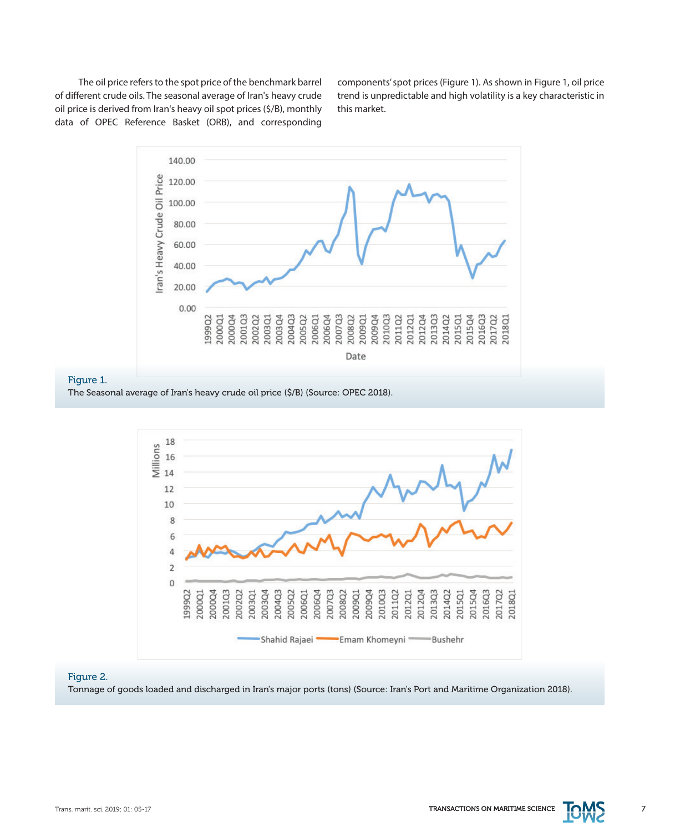The oil price refers to the spot price of the benchmark barrel of different crude oils. The seasonal average of Iran's heavy crude oil price is derived from Iran's heavy oil spot prices (\$/B), monthly data of OPEC Reference Basket (ORB), and corresponding

components' spot prices (Figure 1). As shown in Figure 1, oil price trend is unpredictable and high volatility is a key characteristic in this market.



#### Figure 1.

The Seasonal average of Iran's heavy crude oil price (\$/B) (Source: OPEC 2018).



# Figure 2.

Tonnage of goods loaded and discharged in Iran's major ports (tons) (Source: Iran's Port and Maritime Organization 2018).

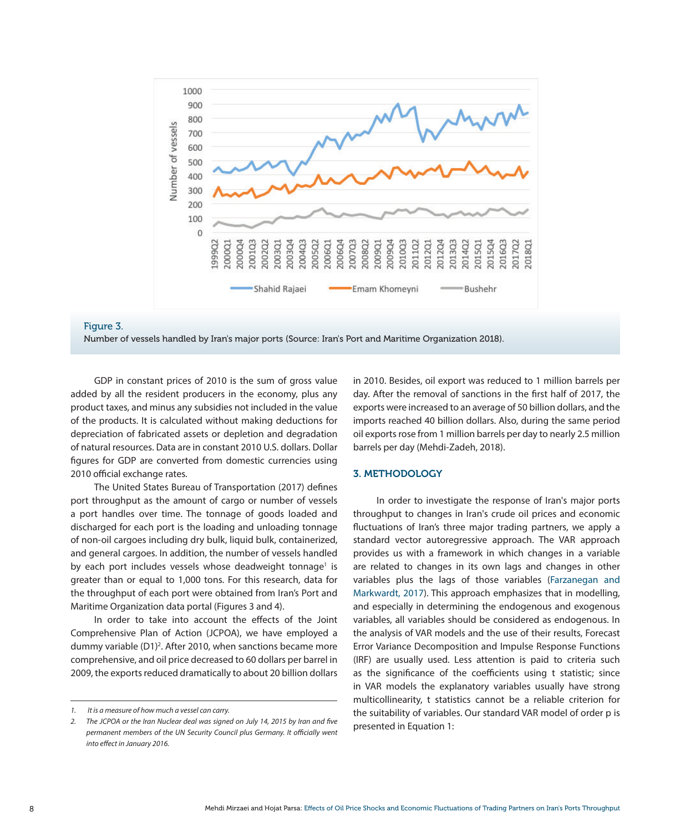



GDP in constant prices of 2010 is the sum of gross value added by all the resident producers in the economy, plus any product taxes, and minus any subsidies not included in the value of the products. It is calculated without making deductions for depreciation of fabricated assets or depletion and degradation of natural resources. Data are in constant 2010 U.S. dollars. Dollar figures for GDP are converted from domestic currencies using 2010 official exchange rates.

Figure 3.

The United States Bureau of Transportation (2017) defines port throughput as the amount of cargo or number of vessels a port handles over time. The tonnage of goods loaded and discharged for each port is the loading and unloading tonnage of non-oil cargoes including dry bulk, liquid bulk, containerized, and general cargoes. In addition, the number of vessels handled by each port includes vessels whose deadweight tonnage<sup>1</sup> is greater than or equal to 1,000 tons. For this research, data for the throughput of each port were obtained from Iran's Port and Maritime Organization data portal (Figures 3 and 4).

In order to take into account the effects of the Joint Comprehensive Plan of Action (JCPOA), we have employed a dummy variable (D1)<sup>2</sup>. After 2010, when sanctions became more comprehensive, and oil price decreased to 60 dollars per barrel in 2009, the exports reduced dramatically to about 20 billion dollars

in 2010. Besides, oil export was reduced to 1 million barrels per day. After the removal of sanctions in the first half of 2017, the exports were increased to an average of 50 billion dollars, and the imports reached 40 billion dollars. Also, during the same period oil exports rose from 1 million barrels per day to nearly 2.5 million barrels per day (Mehdi-Zadeh, 2018).

# 3. METHODOLOGY

In order to investigate the response of Iran's major ports throughput to changes in Iran's crude oil prices and economic fluctuations of Iran's three major trading partners, we apply a standard vector autoregressive approach. The VAR approach provides us with a framework in which changes in a variable are related to changes in its own lags and changes in other variables plus the lags of those variables (Farzanegan and Markwardt, 2017). This approach emphasizes that in modelling, and especially in determining the endogenous and exogenous variables, all variables should be considered as endogenous. In the analysis of VAR models and the use of their results, Forecast Error Variance Decomposition and Impulse Response Functions (IRF) are usually used. Less attention is paid to criteria such as the significance of the coefficients using t statistic; since in VAR models the explanatory variables usually have strong multicollinearity, t statistics cannot be a reliable criterion for the suitability of variables. Our standard VAR model of order p is presented in Equation 1:

*<sup>1.</sup> It is a measure of how much a vessel can carry.*

*<sup>2.</sup> The JCPOA or the Iran Nuclear deal was signed on July 14, 2015 by Iran and five permanent members of the UN Security Council plus Germany. It officially went into effect in January 2016.*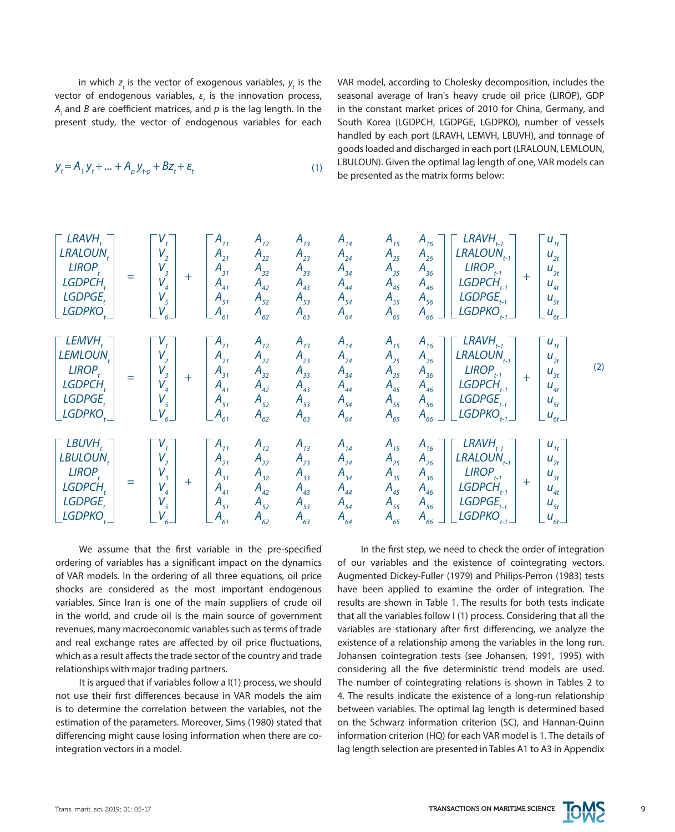in which  $z_t$  is the vector of exogenous variables,  $y_t$  is the vector of endogenous variables,  $ε<sub>t</sub>$  is the innovation process, *Ai* and *B* are coefficient matrices, and *p* is the lag length. In the present study, the vector of endogenous variables for each

 $y_t = A_1 y_t + ... + A_p y_{t-p} + Bz_t + \varepsilon_t$  (1)

VAR model, according to Cholesky decomposition, includes the seasonal average of Iran's heavy crude oil price (LIROP), GDP in the constant market prices of 2010 for China, Germany, and South Korea (LGDPCH, LGDPGE, LGDPKO), number of vessels handled by each port (LRAVH, LEMVH, LBUVH), and tonnage of goods loaded and discharged in each port (LRALOUN, LEMLOUN, LBULOUN). Given the optimal lag length of one, VAR models can be presented as the matrix forms below:

| LRAVH <sub>t</sub>   |       |          |          |          |          |          |          |          |                |          |          |          |          |          |          |          |          |          |          |          |          |          |          |          |          |          |          |          |          |          |          |          |          |          |          |          |          |          |          |          |          |          |          |          |
|----------------------|-------|----------|----------|----------|----------|----------|----------|----------|----------------|----------|----------|----------|----------|----------|----------|----------|----------|----------|----------|----------|----------|----------|----------|----------|----------|----------|----------|----------|----------|----------|----------|----------|----------|----------|----------|----------|----------|----------|----------|----------|----------|----------|----------|----------|
| LRALOUN <sub>t</sub> | $V_1$ | $V_2$    | $A_{12}$ | $A_{22}$ | $A_{23}$ | $A_{24}$ | $A_{25}$ | $A_{26}$ | $LRAUON_{t-1}$ | $U_{21}$ |          |          |          |          |          |          |          |          |          |          |          |          |          |          |          |          |          |          |          |          |          |          |          |          |          |          |          |          |          |          |          |          |          |          |
| LIBOPCH <sub>t</sub> | $V_2$ | $A_{31}$ | $A_{32}$ | $A_{33}$ | $A_{34}$ | $A_{35}$ | $A_{36}$ | $A_{37}$ | $A_{38}$       | $A_{39}$ | $A_{30}$ | $A_{34}$ | $A_{35}$ | $A_{36}$ | $A_{37}$ | $A_{38}$ | $A_{39}$ | $A_{30}$ | $A_{34}$ | $A_{35}$ | $A_{36}$ | $A_{37}$ | $A_{38}$ | $A_{39}$ | $A_{30}$ | $A_{34}$ | $A_{35}$ | $A_{36}$ | $A_{37}$ | $A_{38}$ | $A_{39}$ | $A_{30}$ | $A_{34}$ | $A_{35}$ | $A_{36}$ | $A_{37}$ | $A_{38}$ | $A_{39}$ | $A_{30}$ | $A_{34}$ | $A_{35}$ | $A_{36}$ | $A_{37}$ | $A_{38}$ |

We assume that the first variable in the pre-specified ordering of variables has a significant impact on the dynamics of VAR models. In the ordering of all three equations, oil price shocks are considered as the most important endogenous variables. Since Iran is one of the main suppliers of crude oil in the world, and crude oil is the main source of government revenues, many macroeconomic variables such as terms of trade and real exchange rates are affected by oil price fluctuations, which as a result affects the trade sector of the country and trade relationships with major trading partners.

It is argued that if variables follow a I(1) process, we should not use their first differences because in VAR models the aim is to determine the correlation between the variables, not the estimation of the parameters. Moreover, Sims (1980) stated that differencing might cause losing information when there are cointegration vectors in a model.

In the first step, we need to check the order of integration of our variables and the existence of cointegrating vectors. Augmented Dickey-Fuller (1979) and Philips-Perron (1983) tests have been applied to examine the order of integration. The results are shown in Table 1. The results for both tests indicate that all the variables follow I (1) process. Considering that all the variables are stationary after first differencing, we analyze the existence of a relationship among the variables in the long run. Johansen cointegration tests (see Johansen, 1991, 1995) with considering all the five deterministic trend models are used. The number of cointegrating relations is shown in Tables 2 to 4. The results indicate the existence of a long-run relationship between variables. The optimal lag length is determined based on the Schwarz information criterion (SC), and Hannan-Quinn information criterion (HQ) for each VAR model is 1. The details of lag length selection are presented in Tables A1 to A3 in Appendix

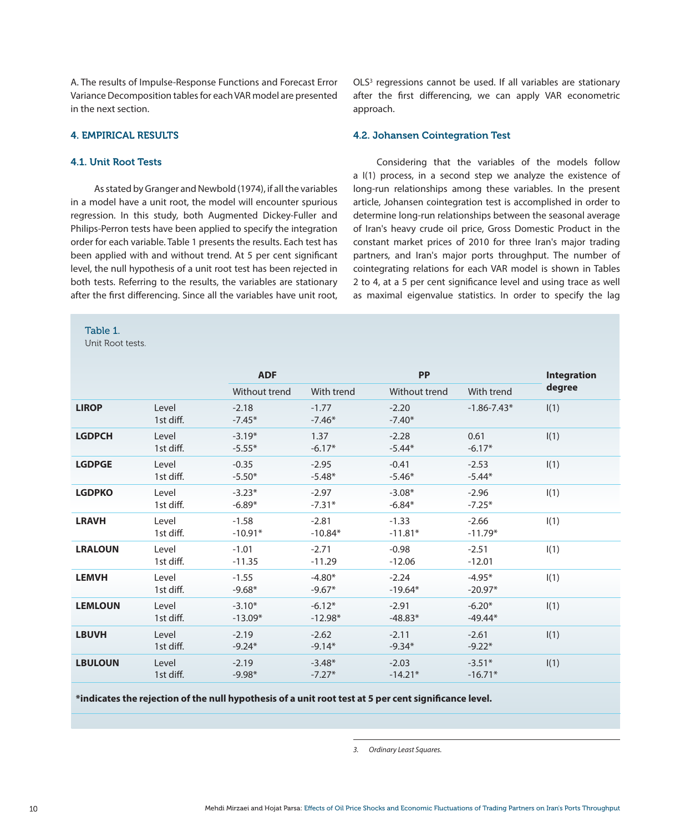A. The results of Impulse-Response Functions and Forecast Error Variance Decomposition tables for each VAR model are presented in the next section.

# 4. EMPIRICAL RESULTS

# 4.1. Unit Root Tests

As stated by Granger and Newbold (1974), if all the variables in a model have a unit root, the model will encounter spurious regression. In this study, both Augmented Dickey-Fuller and Philips-Perron tests have been applied to specify the integration order for each variable. Table 1 presents the results. Each test has been applied with and without trend. At 5 per cent significant level, the null hypothesis of a unit root test has been rejected in both tests. Referring to the results, the variables are stationary after the first differencing. Since all the variables have unit root,

#### Table 1.

Unit Root tests.

OLS<sup>3</sup> regressions cannot be used. If all variables are stationary after the first differencing, we can apply VAR econometric approach.

#### 4.2. Johansen Cointegration Test

Considering that the variables of the models follow a I(1) process, in a second step we analyze the existence of long-run relationships among these variables. In the present article, Johansen cointegration test is accomplished in order to determine long-run relationships between the seasonal average of Iran's heavy crude oil price, Gross Domestic Product in the constant market prices of 2010 for three Iran's major trading partners, and Iran's major ports throughput. The number of cointegrating relations for each VAR model is shown in Tables 2 to 4, at a 5 per cent significance level and using trace as well as maximal eigenvalue statistics. In order to specify the lag

|                |                    | <b>ADF</b>            |                       | <b>PP</b>            |                       | <b>Integration</b> |
|----------------|--------------------|-----------------------|-----------------------|----------------------|-----------------------|--------------------|
|                |                    | Without trend         | With trend            | Without trend        | With trend            | degree             |
| <b>LIROP</b>   | Level<br>1st diff. | $-2.18$<br>$-7.45*$   | $-1.77$<br>$-7.46*$   | $-2.20$<br>$-7.40*$  | $-1.86 - 7.43*$       | I(1)               |
| <b>LGDPCH</b>  | Level<br>1st diff. | $-3.19*$<br>$-5.55*$  | 1.37<br>$-6.17*$      | $-2.28$<br>$-5.44*$  | 0.61<br>$-6.17*$      | I(1)               |
| <b>LGDPGE</b>  | Level<br>1st diff. | $-0.35$<br>$-5.50*$   | $-2.95$<br>$-5.48*$   | $-0.41$<br>$-5.46*$  | $-2.53$<br>$-5.44*$   | I(1)               |
| <b>LGDPKO</b>  | Level<br>1st diff. | $-3.23*$<br>$-6.89*$  | $-2.97$<br>$-7.31*$   | $-3.08*$<br>$-6.84*$ | $-2.96$<br>$-7.25*$   | I(1)               |
| <b>LRAVH</b>   | Level<br>1st diff. | $-1.58$<br>$-10.91*$  | $-2.81$<br>$-10.84*$  | $-1.33$<br>$-11.81*$ | $-2.66$<br>$-11.79*$  | I(1)               |
| <b>LRALOUN</b> | Level<br>1st diff. | $-1.01$<br>$-11.35$   | $-2.71$<br>$-11.29$   | $-0.98$<br>$-12.06$  | $-2.51$<br>$-12.01$   | I(1)               |
| <b>LEMVH</b>   | Level<br>1st diff. | $-1.55$<br>$-9.68*$   | $-4.80*$<br>$-9.67*$  | $-2.24$<br>$-19.64*$ | $-4.95*$<br>$-20.97*$ | I(1)               |
| <b>LEMLOUN</b> | Level<br>1st diff. | $-3.10*$<br>$-13.09*$ | $-6.12*$<br>$-12.98*$ | $-2.91$<br>$-48.83*$ | $-6.20*$<br>$-49.44*$ | I(1)               |
| <b>LBUVH</b>   | Level<br>1st diff. | $-2.19$<br>$-9.24*$   | $-2.62$<br>$-9.14*$   | $-2.11$<br>$-9.34*$  | $-2.61$<br>$-9.22*$   | I(1)               |
| <b>LBULOUN</b> | Level<br>1st diff. | $-2.19$<br>$-9.98*$   | $-3.48*$<br>$-7.27*$  | $-2.03$<br>$-14.21*$ | $-3.51*$<br>$-16.71*$ | I(1)               |

**\*indicates the rejection of the null hypothesis of a unit root test at 5 per cent significance level.**

*3. Ordinary Least Squares.*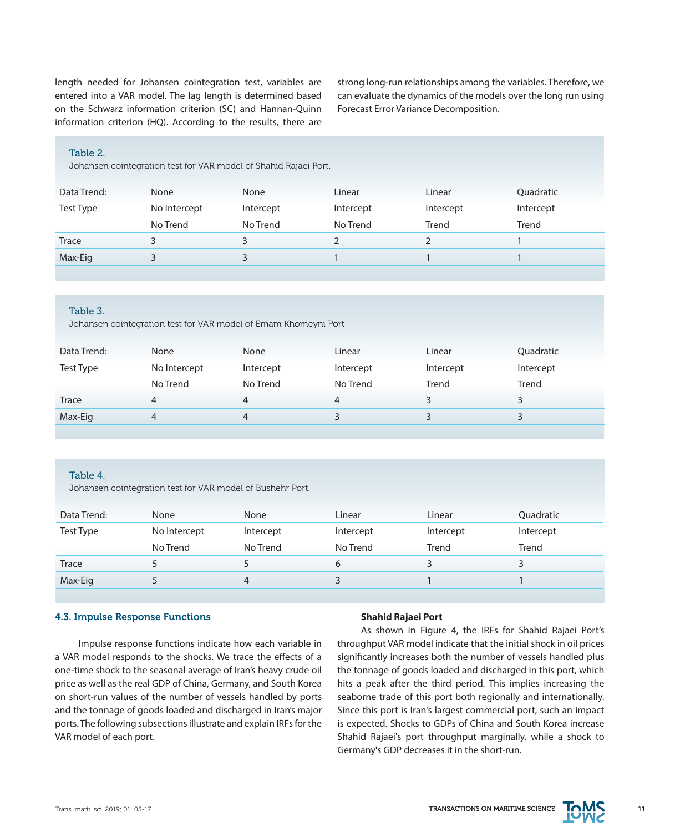length needed for Johansen cointegration test, variables are entered into a VAR model. The lag length is determined based on the Schwarz information criterion (SC) and Hannan-Quinn information criterion (HQ). According to the results, there are

strong long-run relationships among the variables. Therefore, we can evaluate the dynamics of the models over the long run using Forecast Error Variance Decomposition.

#### Table 2.

Johansen cointegration test for VAR model of Shahid Rajaei Port.

| Data Trend: | None         | None      | Linear    | Linear    | Quadratic |
|-------------|--------------|-----------|-----------|-----------|-----------|
| Test Type   | No Intercept | Intercept | Intercept | Intercept | Intercept |
|             | No Trend     | No Trend  | No Trend  | Trend     | Trend     |
| Trace       |              | 3.        |           |           |           |
| Max-Eig     |              | 3.        |           |           |           |
|             |              |           |           |           |           |

#### Table 3.

Johansen cointegration test for VAR model of Emam Khomeyni Port

| Data Trend: | None         | None      | Linear    | Linear    | <b>Ouadratic</b> |
|-------------|--------------|-----------|-----------|-----------|------------------|
| Test Type   | No Intercept | Intercept | Intercept | Intercept | Intercept        |
|             | No Trend     | No Trend  | No Trend  | Trend     | Trend            |
| Trace       |              | 4         | 4         |           |                  |
| Max-Eig     |              | 4         |           |           |                  |
|             |              |           |           |           |                  |

# Table 4.

Johansen cointegration test for VAR model of Bushehr Port.

| Data Trend: | None         | None      | Linear    | Linear    | Quadratic |
|-------------|--------------|-----------|-----------|-----------|-----------|
| Test Type   | No Intercept | Intercept | Intercept | Intercept | Intercept |
|             | No Trend     | No Trend  | No Trend  | Trend     | Trend     |
| Trace       |              |           | b         |           |           |
| Max-Eig     |              | 4         |           |           |           |

# 4.3. Impulse Response Functions

Impulse response functions indicate how each variable in a VAR model responds to the shocks. We trace the effects of a one-time shock to the seasonal average of Iran's heavy crude oil price as well as the real GDP of China, Germany, and South Korea on short-run values of the number of vessels handled by ports and the tonnage of goods loaded and discharged in Iran's major ports. The following subsections illustrate and explain IRFs for the VAR model of each port.

# **Shahid Rajaei Port**

As shown in Figure 4, the IRFs for Shahid Rajaei Port's throughput VAR model indicate that the initial shock in oil prices significantly increases both the number of vessels handled plus the tonnage of goods loaded and discharged in this port, which hits a peak after the third period. This implies increasing the seaborne trade of this port both regionally and internationally. Since this port is Iran's largest commercial port, such an impact is expected. Shocks to GDPs of China and South Korea increase Shahid Rajaei's port throughput marginally, while a shock to Germany's GDP decreases it in the short-run.

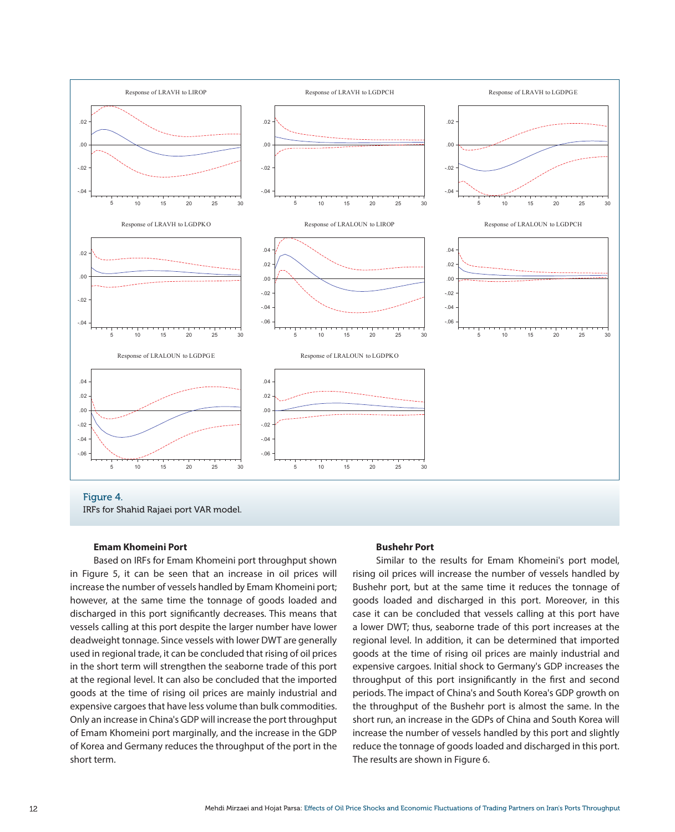

#### **Emam Khomeini Port**

Based on IRFs for Emam Khomeini port throughput shown in Figure 5, it can be seen that an increase in oil prices will increase the number of vessels handled by Emam Khomeini port; however, at the same time the tonnage of goods loaded and discharged in this port significantly decreases. This means that vessels calling at this port despite the larger number have lower deadweight tonnage. Since vessels with lower DWT are generally used in regional trade, it can be concluded that rising of oil prices in the short term will strengthen the seaborne trade of this port at the regional level. It can also be concluded that the imported goods at the time of rising oil prices are mainly industrial and expensive cargoes that have less volume than bulk commodities. Only an increase in China's GDP will increase the port throughput of Emam Khomeini port marginally, and the increase in the GDP of Korea and Germany reduces the throughput of the port in the short term.

#### **Bushehr Port**

Similar to the results for Emam Khomeini's port model, rising oil prices will increase the number of vessels handled by Bushehr port, but at the same time it reduces the tonnage of goods loaded and discharged in this port. Moreover, in this case it can be concluded that vessels calling at this port have a lower DWT; thus, seaborne trade of this port increases at the regional level. In addition, it can be determined that imported goods at the time of rising oil prices are mainly industrial and expensive cargoes. Initial shock to Germany's GDP increases the throughput of this port insignificantly in the first and second periods. The impact of China's and South Korea's GDP growth on the throughput of the Bushehr port is almost the same. In the short run, an increase in the GDPs of China and South Korea will increase the number of vessels handled by this port and slightly reduce the tonnage of goods loaded and discharged in this port. The results are shown in Figure 6.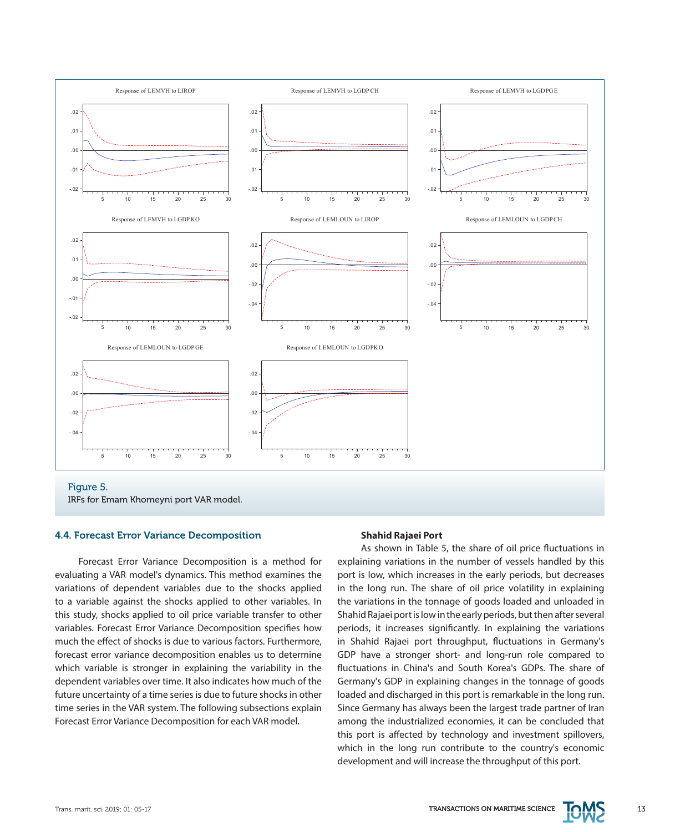

Figure 5. IRFs for Emam Khomeyni port VAR model.

# 4.4. Forecast Error Variance Decomposition

Forecast Error Variance Decomposition is a method for evaluating a VAR model's dynamics. This method examines the variations of dependent variables due to the shocks applied to a variable against the shocks applied to other variables. In this study, shocks applied to oil price variable transfer to other variables. Forecast Error Variance Decomposition specifies how much the effect of shocks is due to various factors. Furthermore, forecast error variance decomposition enables us to determine which variable is stronger in explaining the variability in the dependent variables over time. It also indicates how much of the future uncertainty of a time series is due to future shocks in other time series in the VAR system. The following subsections explain Forecast Error Variance Decomposition for each VAR model.

#### **Shahid Rajaei Port**

As shown in Table 5, the share of oil price fluctuations in explaining variations in the number of vessels handled by this port is low, which increases in the early periods, but decreases in the long run. The share of oil price volatility in explaining the variations in the tonnage of goods loaded and unloaded in Shahid Rajaei port is low in the early periods, but then after several periods, it increases significantly. In explaining the variations in Shahid Rajaei port throughput, fluctuations in Germany's GDP have a stronger short- and long-run role compared to fluctuations in China's and South Korea's GDPs. The share of Germany's GDP in explaining changes in the tonnage of goods loaded and discharged in this port is remarkable in the long run. Since Germany has always been the largest trade partner of Iran among the industrialized economies, it can be concluded that this port is affected by technology and investment spillovers, which in the long run contribute to the country's economic development and will increase the throughput of this port.

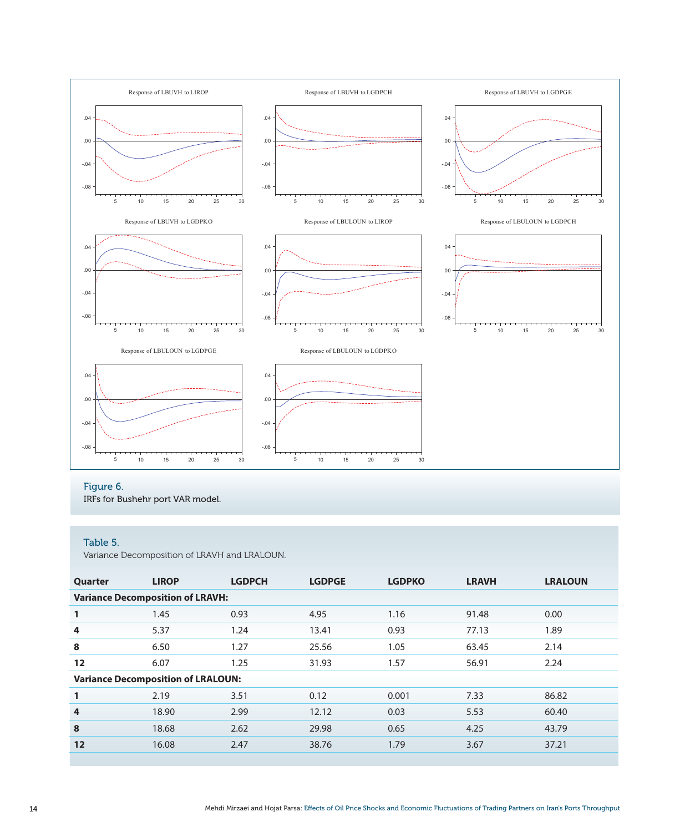

# Figure 6.

IRFs for Bushehr port VAR model.

# Table 5.

Variance Decomposition of LRAVH and LRALOUN.

| Quarter                                   | <b>LIROP</b>                            | <b>LGDPCH</b> | <b>LGDPGE</b> | <b>LGDPKO</b> | <b>LRAVH</b> | <b>LRALOUN</b> |  |  |
|-------------------------------------------|-----------------------------------------|---------------|---------------|---------------|--------------|----------------|--|--|
|                                           | <b>Variance Decomposition of LRAVH:</b> |               |               |               |              |                |  |  |
| $\mathbf{1}$                              | 1.45                                    | 0.93          | 4.95          | 1.16          | 91.48        | 0.00           |  |  |
| 4                                         | 5.37                                    | 1.24          | 13.41         | 0.93          | 77.13        | 1.89           |  |  |
| 8                                         | 6.50                                    | 1.27          | 25.56         | 1.05          | 63.45        | 2.14           |  |  |
| 12                                        | 6.07                                    | 1.25          | 31.93         | 1.57          | 56.91        | 2.24           |  |  |
| <b>Variance Decomposition of LRALOUN:</b> |                                         |               |               |               |              |                |  |  |
| 1                                         | 2.19                                    | 3.51          | 0.12          | 0.001         | 7.33         | 86.82          |  |  |
| 4                                         | 18.90                                   | 2.99          | 12.12         | 0.03          | 5.53         | 60.40          |  |  |
| 8                                         | 18.68                                   | 2.62          | 29.98         | 0.65          | 4.25         | 43.79          |  |  |
| 12                                        | 16.08                                   | 2.47          | 38.76         | 1.79          | 3.67         | 37.21          |  |  |
|                                           |                                         |               |               |               |              |                |  |  |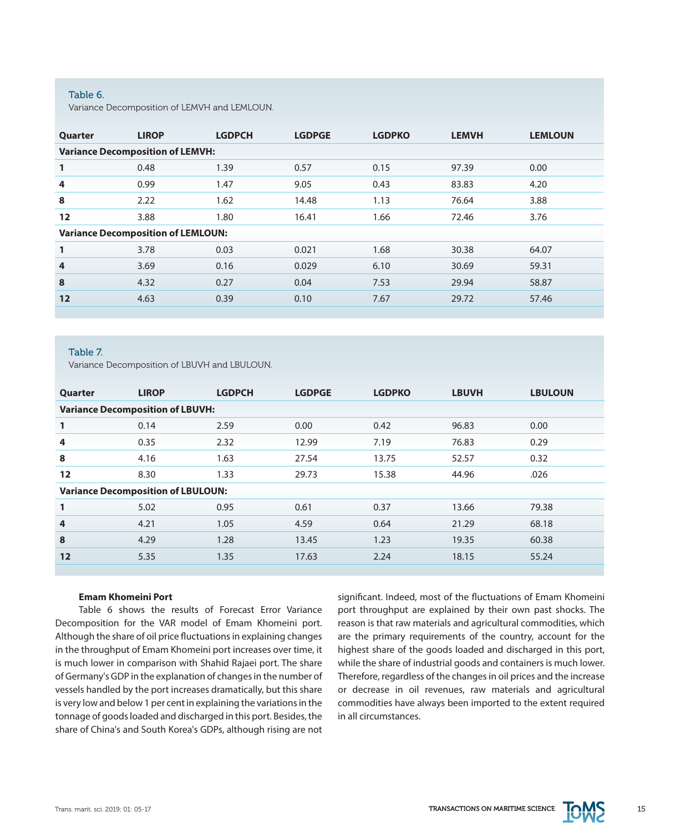#### Table 6.

Variance Decomposition of LEMVH and LEMLOUN.

| Quarter      | <b>LIROP</b>                              | <b>LGDPCH</b> | <b>LGDPGE</b> | <b>LGDPKO</b> | <b>LEMVH</b> | <b>LEMLOUN</b> |  |  |
|--------------|-------------------------------------------|---------------|---------------|---------------|--------------|----------------|--|--|
|              | <b>Variance Decomposition of LEMVH:</b>   |               |               |               |              |                |  |  |
| 1            | 0.48                                      | 1.39          | 0.57          | 0.15          | 97.39        | 0.00           |  |  |
| 4            | 0.99                                      | 1.47          | 9.05          | 0.43          | 83.83        | 4.20           |  |  |
| 8            | 2.22                                      | 1.62          | 14.48         | 1.13          | 76.64        | 3.88           |  |  |
| 12           | 3.88                                      | 1.80          | 16.41         | 1.66          | 72.46        | 3.76           |  |  |
|              | <b>Variance Decomposition of LEMLOUN:</b> |               |               |               |              |                |  |  |
| $\mathbf{1}$ | 3.78                                      | 0.03          | 0.021         | 1.68          | 30.38        | 64.07          |  |  |
| 4            | 3.69                                      | 0.16          | 0.029         | 6.10          | 30.69        | 59.31          |  |  |
| 8            | 4.32                                      | 0.27          | 0.04          | 7.53          | 29.94        | 58.87          |  |  |
| 12           | 4.63                                      | 0.39          | 0.10          | 7.67          | 29.72        | 57.46          |  |  |
|              |                                           |               |               |               |              |                |  |  |

#### Table 7.

Variance Decomposition of LBUVH and LBULOUN.

| Quarter      | <b>LIROP</b>                              | <b>LGDPCH</b> | <b>LGDPGE</b> | <b>LGDPKO</b> | <b>LBUVH</b> | <b>LBULOUN</b> |  |  |
|--------------|-------------------------------------------|---------------|---------------|---------------|--------------|----------------|--|--|
|              | <b>Variance Decomposition of LBUVH:</b>   |               |               |               |              |                |  |  |
| $\mathbf{1}$ | 0.14                                      | 2.59          | 0.00          | 0.42          | 96.83        | 0.00           |  |  |
| 4            | 0.35                                      | 2.32          | 12.99         | 7.19          | 76.83        | 0.29           |  |  |
| 8            | 4.16                                      | 1.63          | 27.54         | 13.75         | 52.57        | 0.32           |  |  |
| 12           | 8.30                                      | 1.33          | 29.73         | 15.38         | 44.96        | .026           |  |  |
|              | <b>Variance Decomposition of LBULOUN:</b> |               |               |               |              |                |  |  |
| 1            | 5.02                                      | 0.95          | 0.61          | 0.37          | 13.66        | 79.38          |  |  |
| 4            | 4.21                                      | 1.05          | 4.59          | 0.64          | 21.29        | 68.18          |  |  |
| 8            | 4.29                                      | 1.28          | 13.45         | 1.23          | 19.35        | 60.38          |  |  |
| 12           | 5.35                                      | 1.35          | 17.63         | 2.24          | 18.15        | 55.24          |  |  |

# **Emam Khomeini Port**

Table 6 shows the results of Forecast Error Variance Decomposition for the VAR model of Emam Khomeini port. Although the share of oil price fluctuations in explaining changes in the throughput of Emam Khomeini port increases over time, it is much lower in comparison with Shahid Rajaei port. The share of Germany's GDP in the explanation of changes in the number of vessels handled by the port increases dramatically, but this share is very low and below 1 per cent in explaining the variations in the tonnage of goods loaded and discharged in this port. Besides, the share of China's and South Korea's GDPs, although rising are not significant. Indeed, most of the fluctuations of Emam Khomeini port throughput are explained by their own past shocks. The reason is that raw materials and agricultural commodities, which are the primary requirements of the country, account for the highest share of the goods loaded and discharged in this port, while the share of industrial goods and containers is much lower. Therefore, regardless of the changes in oil prices and the increase or decrease in oil revenues, raw materials and agricultural commodities have always been imported to the extent required in all circumstances.

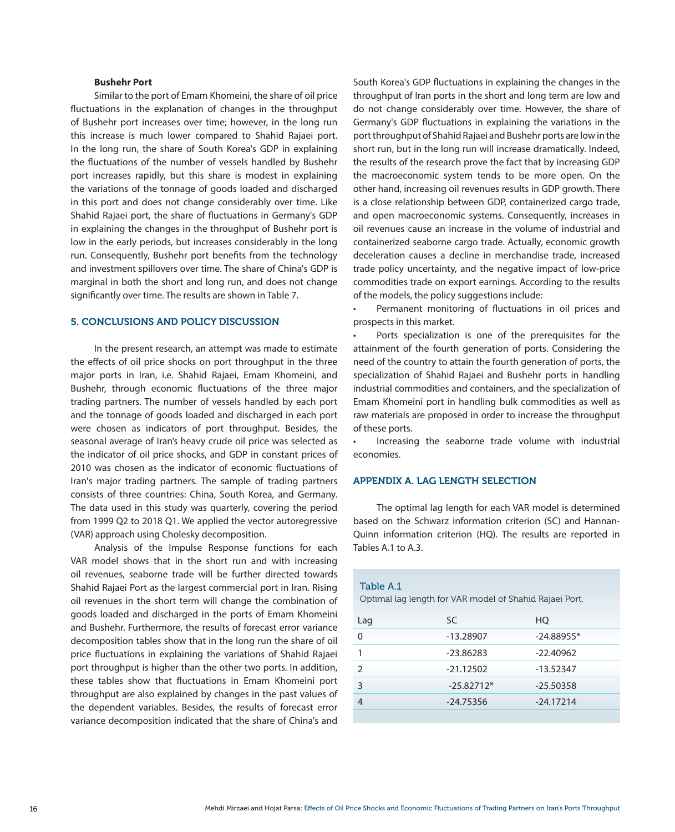#### **Bushehr Port**

Similar to the port of Emam Khomeini, the share of oil price fluctuations in the explanation of changes in the throughput of Bushehr port increases over time; however, in the long run this increase is much lower compared to Shahid Rajaei port. In the long run, the share of South Korea's GDP in explaining the fluctuations of the number of vessels handled by Bushehr port increases rapidly, but this share is modest in explaining the variations of the tonnage of goods loaded and discharged in this port and does not change considerably over time. Like Shahid Rajaei port, the share of fluctuations in Germany's GDP in explaining the changes in the throughput of Bushehr port is low in the early periods, but increases considerably in the long run. Consequently, Bushehr port benefits from the technology and investment spillovers over time. The share of China's GDP is marginal in both the short and long run, and does not change significantly over time. The results are shown in Table 7.

# 5. CONCLUSIONS AND POLICY DISCUSSION

In the present research, an attempt was made to estimate the effects of oil price shocks on port throughput in the three major ports in Iran, i.e. Shahid Rajaei, Emam Khomeini, and Bushehr, through economic fluctuations of the three major trading partners. The number of vessels handled by each port and the tonnage of goods loaded and discharged in each port were chosen as indicators of port throughput. Besides, the seasonal average of Iran's heavy crude oil price was selected as the indicator of oil price shocks, and GDP in constant prices of 2010 was chosen as the indicator of economic fluctuations of Iran's major trading partners. The sample of trading partners consists of three countries: China, South Korea, and Germany. The data used in this study was quarterly, covering the period from 1999 Q2 to 2018 Q1. We applied the vector autoregressive (VAR) approach using Cholesky decomposition.

Analysis of the Impulse Response functions for each VAR model shows that in the short run and with increasing oil revenues, seaborne trade will be further directed towards Shahid Rajaei Port as the largest commercial port in Iran. Rising oil revenues in the short term will change the combination of goods loaded and discharged in the ports of Emam Khomeini and Bushehr. Furthermore, the results of forecast error variance decomposition tables show that in the long run the share of oil price fluctuations in explaining the variations of Shahid Rajaei port throughput is higher than the other two ports. In addition, these tables show that fluctuations in Emam Khomeini port throughput are also explained by changes in the past values of the dependent variables. Besides, the results of forecast error variance decomposition indicated that the share of China's and

South Korea's GDP fluctuations in explaining the changes in the throughput of Iran ports in the short and long term are low and do not change considerably over time. However, the share of Germany's GDP fluctuations in explaining the variations in the port throughput of Shahid Rajaei and Bushehr ports are low in the short run, but in the long run will increase dramatically. Indeed, the results of the research prove the fact that by increasing GDP the macroeconomic system tends to be more open. On the other hand, increasing oil revenues results in GDP growth. There is a close relationship between GDP, containerized cargo trade, and open macroeconomic systems. Consequently, increases in oil revenues cause an increase in the volume of industrial and containerized seaborne cargo trade. Actually, economic growth deceleration causes a decline in merchandise trade, increased trade policy uncertainty, and the negative impact of low-price commodities trade on export earnings. According to the results of the models, the policy suggestions include:

Permanent monitoring of fluctuations in oil prices and prospects in this market.

Ports specialization is one of the prerequisites for the attainment of the fourth generation of ports. Considering the need of the country to attain the fourth generation of ports, the specialization of Shahid Rajaei and Bushehr ports in handling industrial commodities and containers, and the specialization of Emam Khomeini port in handling bulk commodities as well as raw materials are proposed in order to increase the throughput of these ports.

Increasing the seaborne trade volume with industrial economies.

# APPENDIX A. LAG LENGTH SELECTION

The optimal lag length for each VAR model is determined based on the Schwarz information criterion (SC) and Hannan-Quinn information criterion (HQ). The results are reported in Tables A.1 to A.3.

#### Table A.1

Optimal lag length for VAR model of Shahid Rajaei Port.

| Lag           | <b>SC</b>    | HO           |
|---------------|--------------|--------------|
| O             | $-13.28907$  | $-24.88955*$ |
|               | $-23.86283$  | $-22.40962$  |
| $\mathcal{P}$ | $-21.12502$  | $-13.52347$  |
| 3             | $-25.82712*$ | $-25.50358$  |
|               | $-24.75356$  | $-24.17214$  |
|               |              |              |